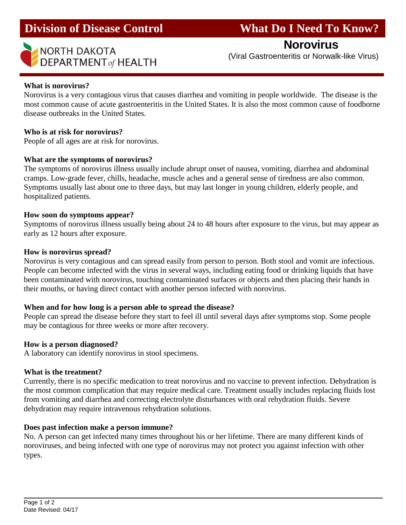# **Division of Disease Control What Do I Need To Know?**

## **Norovirus**

# **NORTH DAKOTA**<br> **DEPARTMENT** of HEALTH (Viral Gastroenteritis or Norwalk-like Virus)

#### **What is norovirus?**

l

Norovirus is a very contagious virus that causes diarrhea and vomiting in people worldwide. The disease is the most common cause of acute gastroenteritis in the United States. It is also the most common cause of foodborne disease outbreaks in the United States.

#### **Who is at risk for norovirus?**

People of all ages are at risk for norovirus.

#### **What are the symptoms of norovirus?**

The symptoms of norovirus illness usually include abrupt onset of nausea, vomiting, diarrhea and abdominal cramps. Low-grade fever, chills, headache, muscle aches and a general sense of tiredness are also common. Symptoms usually last about one to three days, but may last longer in young children, elderly people, and hospitalized patients.

#### **How soon do symptoms appear?**

Symptoms of norovirus illness usually being about 24 to 48 hours after exposure to the virus, but may appear as early as 12 hours after exposure.

#### **How is norovirus spread?**

Norovirus is very contagious and can spread easily from person to person. Both stool and vomit are infectious. People can become infected with the virus in several ways, including eating food or drinking liquids that have been contaminated with norovirus, touching contaminated surfaces or objects and then placing their hands in their mouths, or having direct contact with another person infected with norovirus.

#### **When and for how long is a person able to spread the disease?**

People can spread the disease before they start to feel ill until several days after symptoms stop. Some people may be contagious for three weeks or more after recovery.

#### **How is a person diagnosed?**

A laboratory can identify norovirus in stool specimens.

#### **What is the treatment?**

Currently, there is no specific medication to treat norovirus and no vaccine to prevent infection. Dehydration is the most common complication that may require medical care. Treatment usually includes replacing fluids lost from vomiting and diarrhea and correcting electrolyte disturbances with oral rehydration fluids. Severe dehydration may require intravenous rehydration solutions.

#### **Does past infection make a person immune?**

No. A person can get infected many times throughout his or her lifetime. There are many different kinds of noroviruses, and being infected with one type of norovirus may not protect you against infection with other types.